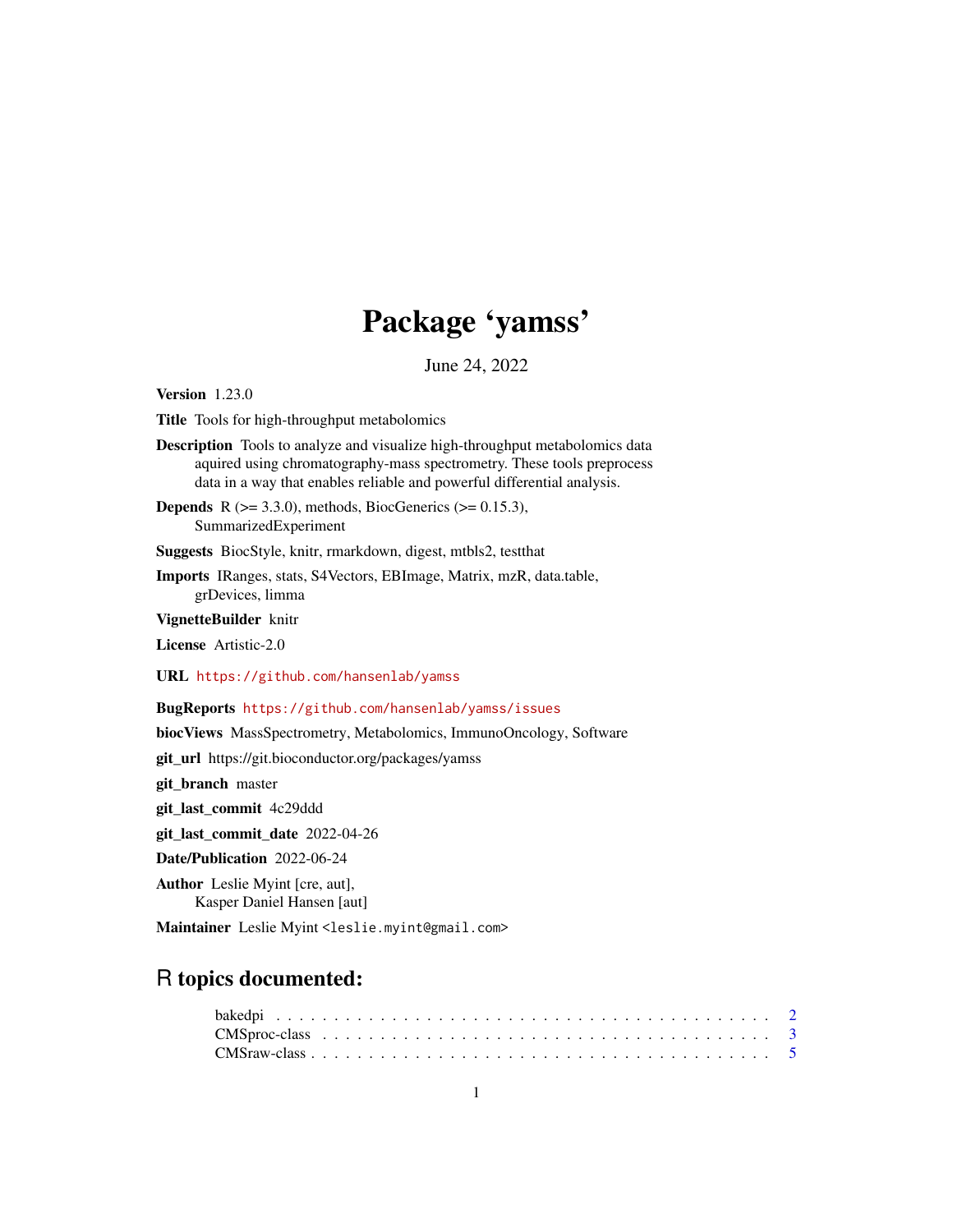# Package 'yamss'

June 24, 2022

Version 1.23.0

Title Tools for high-throughput metabolomics

Description Tools to analyze and visualize high-throughput metabolomics data aquired using chromatography-mass spectrometry. These tools preprocess data in a way that enables reliable and powerful differential analysis.

**Depends** R ( $>= 3.3.0$ ), methods, BiocGenerics ( $>= 0.15.3$ ), SummarizedExperiment

Suggests BiocStyle, knitr, rmarkdown, digest, mtbls2, testthat

Imports IRanges, stats, S4Vectors, EBImage, Matrix, mzR, data.table, grDevices, limma

VignetteBuilder knitr

License Artistic-2.0

URL <https://github.com/hansenlab/yamss>

BugReports <https://github.com/hansenlab/yamss/issues>

biocViews MassSpectrometry, Metabolomics, ImmunoOncology, Software

git\_url https://git.bioconductor.org/packages/yamss

git\_branch master

git\_last\_commit 4c29ddd

git\_last\_commit\_date 2022-04-26

Date/Publication 2022-06-24

Author Leslie Myint [cre, aut], Kasper Daniel Hansen [aut]

Maintainer Leslie Myint <leslie.myint@gmail.com>

# R topics documented: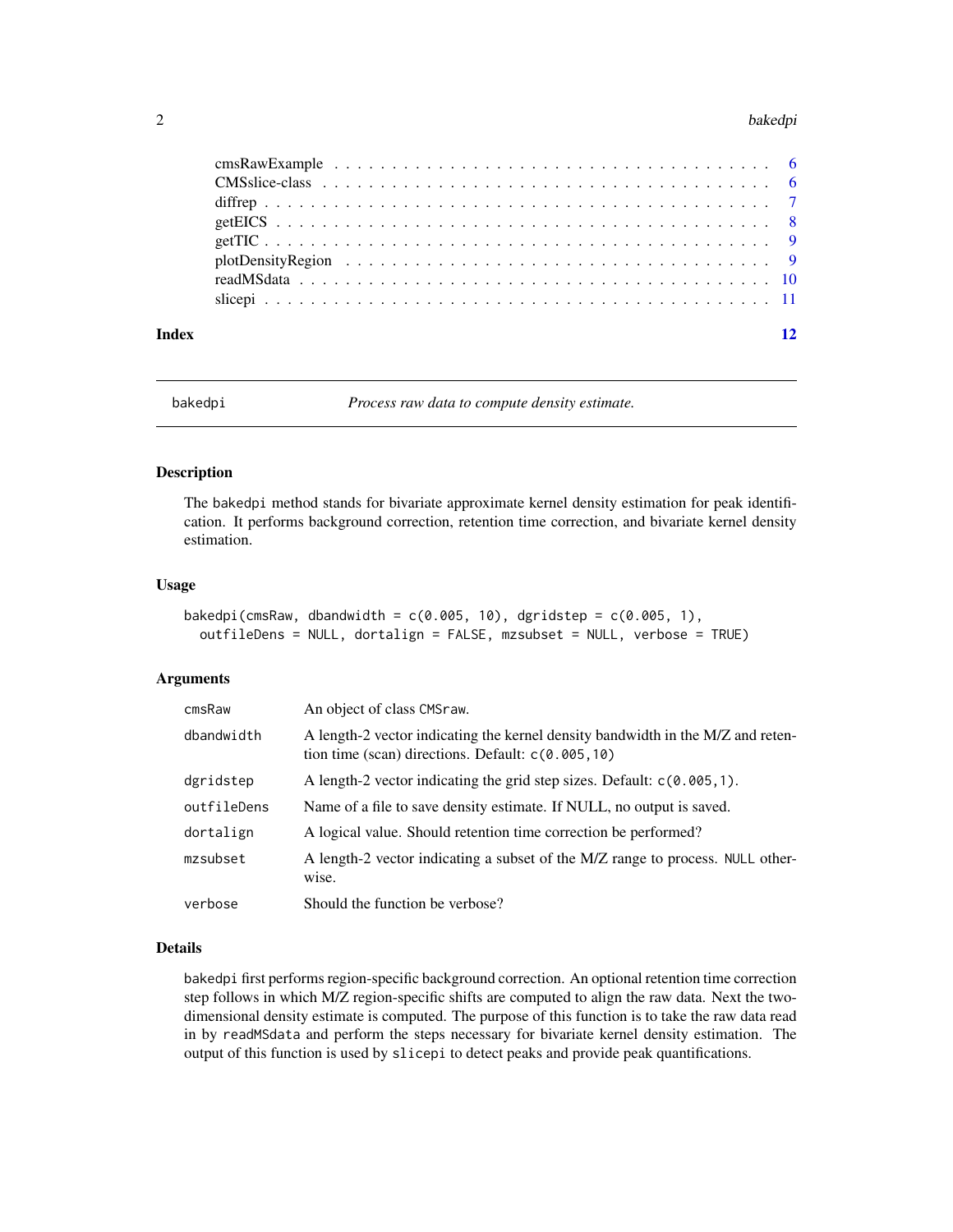#### <span id="page-1-0"></span> $2$  bakedpi

| Index | 12 |
|-------|----|

bakedpi *Process raw data to compute density estimate.*

#### Description

The bakedpi method stands for bivariate approximate kernel density estimation for peak identification. It performs background correction, retention time correction, and bivariate kernel density estimation.

#### Usage

```
bakedpi(cmsRaw, dbandwidth = c(0.005, 10), dgridstep = c(0.005, 1),
 outfileDens = NULL, dortalign = FALSE, mzsubset = NULL, verbose = TRUE)
```
#### Arguments

| cmsRaw      | An object of class CMSraw.                                                                                                              |
|-------------|-----------------------------------------------------------------------------------------------------------------------------------------|
| dbandwidth  | A length-2 vector indicating the kernel density bandwidth in the M/Z and reten-<br>tion time (scan) directions. Default: $c(0.005, 10)$ |
| dgridstep   | A length-2 vector indicating the grid step sizes. Default: $c(0.005, 1)$ .                                                              |
| outfileDens | Name of a file to save density estimate. If NULL, no output is saved.                                                                   |
| dortalign   | A logical value. Should retention time correction be performed?                                                                         |
| mzsubset    | A length-2 vector indicating a subset of the M/Z range to process. NULL other-<br>wise.                                                 |
| verbose     | Should the function be verbose?                                                                                                         |

# Details

bakedpi first performs region-specific background correction. An optional retention time correction step follows in which M/Z region-specific shifts are computed to align the raw data. Next the twodimensional density estimate is computed. The purpose of this function is to take the raw data read in by readMSdata and perform the steps necessary for bivariate kernel density estimation. The output of this function is used by slicepi to detect peaks and provide peak quantifications.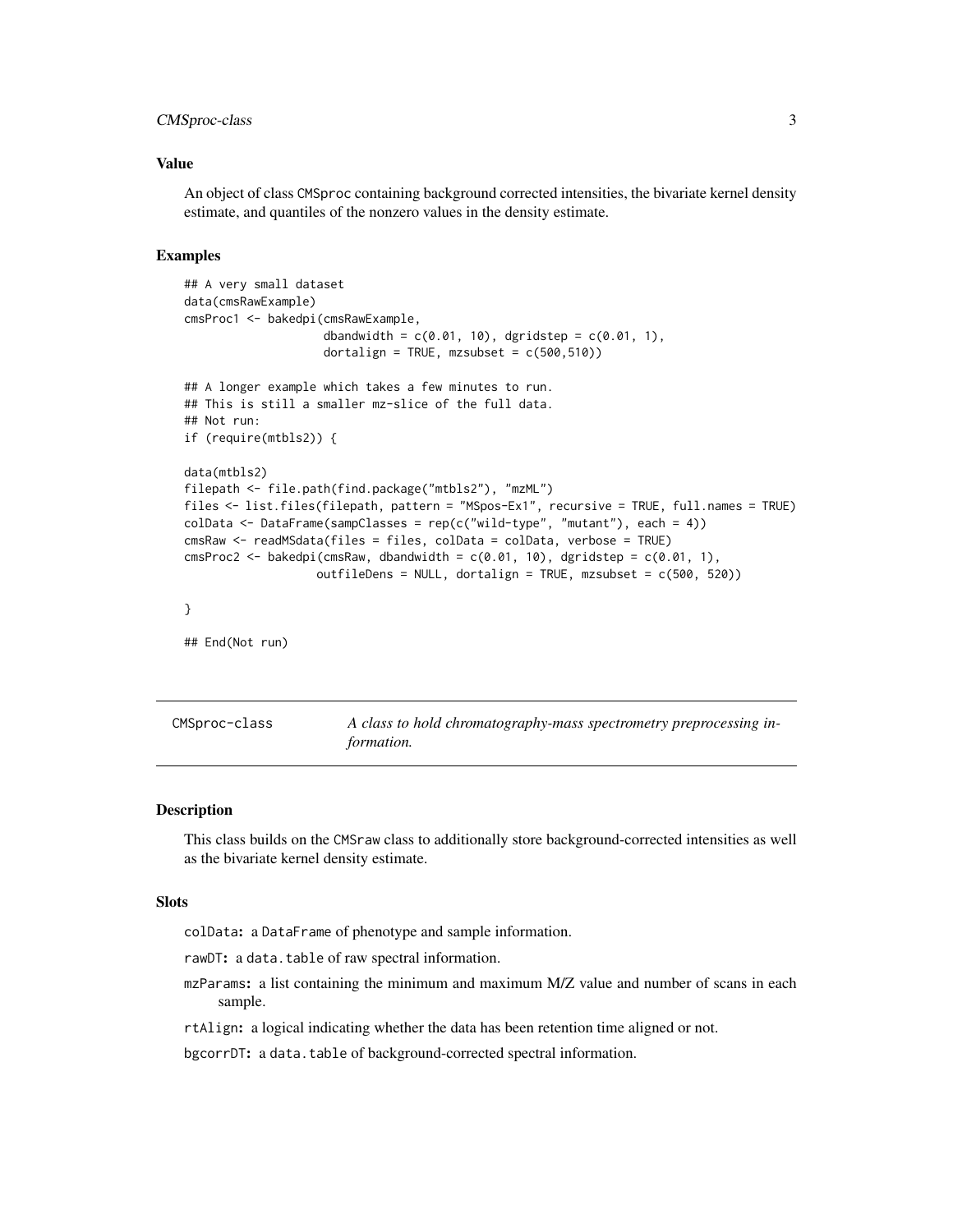# <span id="page-2-0"></span>CMSproc-class 3

## Value

An object of class CMSproc containing background corrected intensities, the bivariate kernel density estimate, and quantiles of the nonzero values in the density estimate.

### Examples

```
## A very small dataset
data(cmsRawExample)
cmsProc1 <- bakedpi(cmsRawExample,
                    dbandwidth = c(0.01, 10), dgridstep = c(0.01, 1),
                    dortalign = TRUE, mzsubset = c(500, 510))
## A longer example which takes a few minutes to run.
## This is still a smaller mz-slice of the full data.
## Not run:
if (require(mtbls2)) {
data(mtbls2)
filepath <- file.path(find.package("mtbls2"), "mzML")
files <- list.files(filepath, pattern = "MSpos-Ex1", recursive = TRUE, full.names = TRUE)
colData <- DataFrame(sampClasses = rep(c("wild-type", "mutant"), each = 4))cmsRaw <- readMSdata(files = files, colData = colData, verbose = TRUE)
cmsProc2 <- bakedpi(cmsRaw, dbandwidth = c(0.01, 10), dgridstep = c(0.01, 1),
                   outfileDens = NULL, dortalign = TRUE, mzsubset = c(500, 520))
}
## End(Not run)
```

| CMSproc-class | A class to hold chromatography-mass spectrometry preprocessing in- |
|---------------|--------------------------------------------------------------------|
|               | <i>formation.</i>                                                  |

#### Description

This class builds on the CMSraw class to additionally store background-corrected intensities as well as the bivariate kernel density estimate.

#### Slots

colData: a DataFrame of phenotype and sample information.

rawDT: a data.table of raw spectral information.

mzParams: a list containing the minimum and maximum M/Z value and number of scans in each sample.

rtAlign: a logical indicating whether the data has been retention time aligned or not.

bgcorrDT: a data.table of background-corrected spectral information.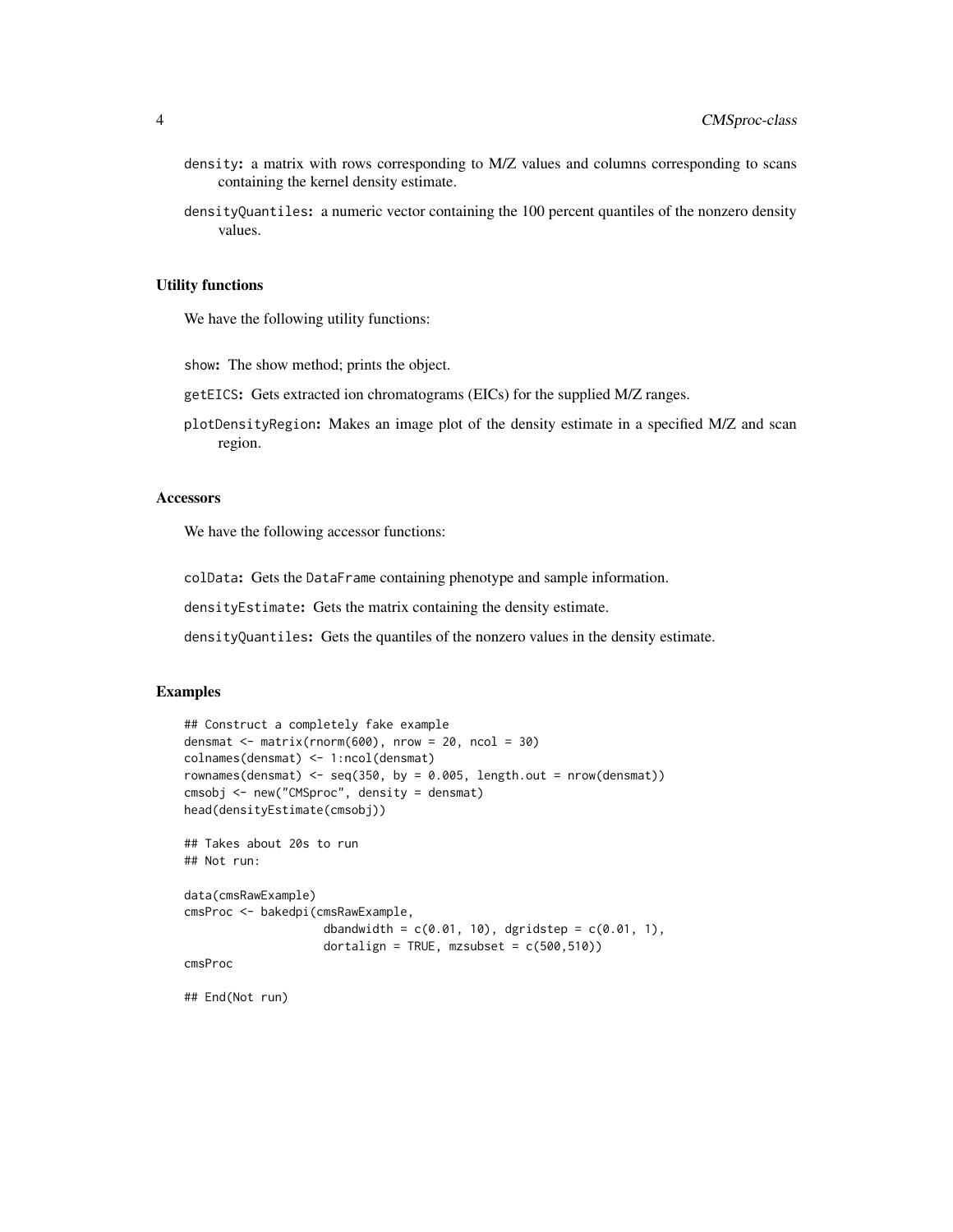- density: a matrix with rows corresponding to M/Z values and columns corresponding to scans containing the kernel density estimate.
- densityQuantiles: a numeric vector containing the 100 percent quantiles of the nonzero density values.

### Utility functions

We have the following utility functions:

show: The show method; prints the object.

getEICS: Gets extracted ion chromatograms (EICs) for the supplied M/Z ranges.

plotDensityRegion: Makes an image plot of the density estimate in a specified M/Z and scan region.

#### **Accessors**

We have the following accessor functions:

colData: Gets the DataFrame containing phenotype and sample information.

densityEstimate: Gets the matrix containing the density estimate.

densityQuantiles: Gets the quantiles of the nonzero values in the density estimate.

# Examples

```
## Construct a completely fake example
densmat \leq matrix(rnorm(600), nrow = 20, ncol = 30)
colnames(densmat) <- 1:ncol(densmat)
rownames(densmat) <- seq(350, by = 0.005, length.out = nrow(densmat))
cmsobj <- new("CMSproc", density = densmat)
head(densityEstimate(cmsobj))
## Takes about 20s to run
## Not run:
data(cmsRawExample)
cmsProc <- bakedpi(cmsRawExample,
                    dbandwidth = c(0.01, 10), dgridstep = c(0.01, 1),
                    dortalign = TRUE, mzsubset = c(500, 510))
cmsProc
```
## End(Not run)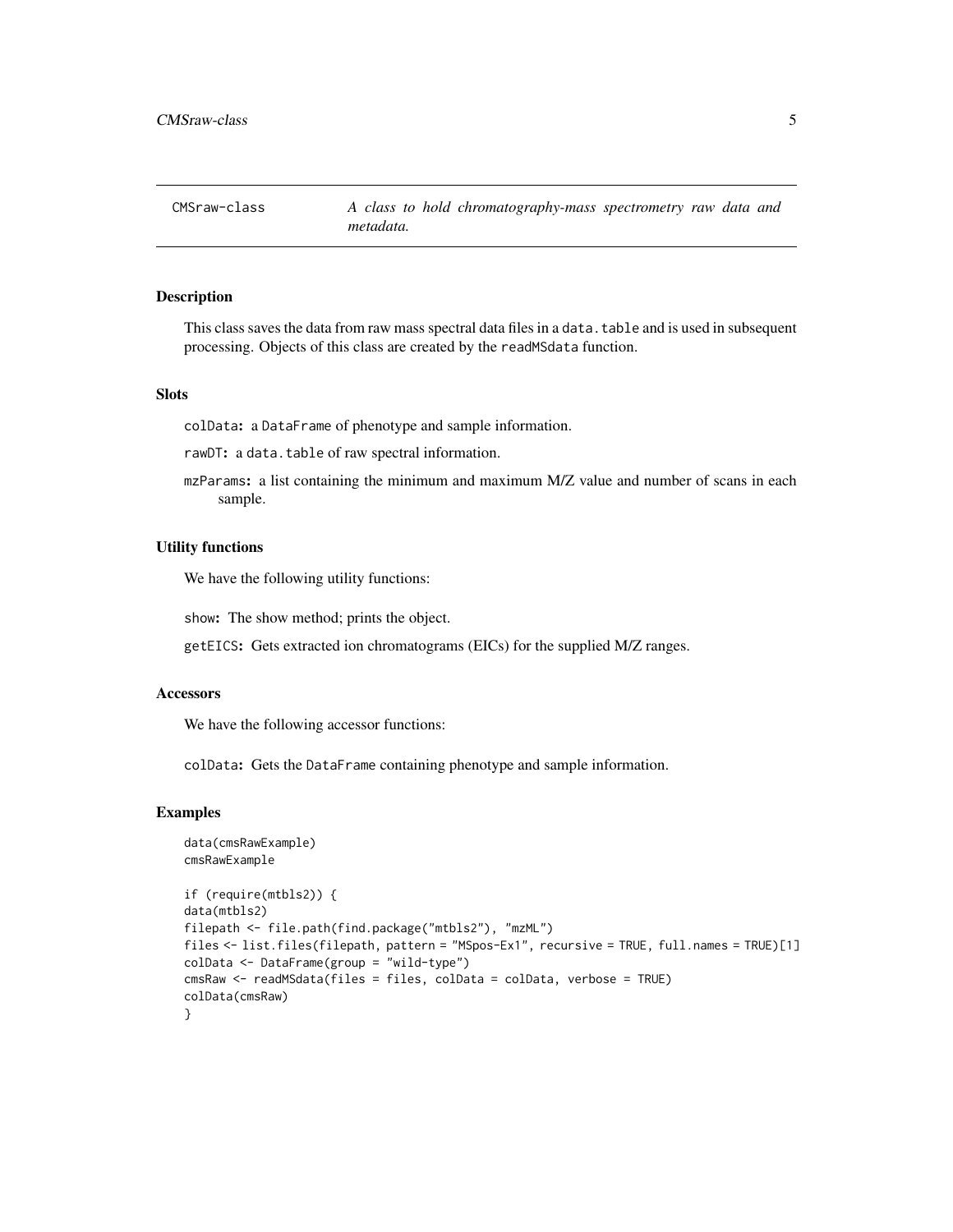<span id="page-4-0"></span>CMSraw-class *A class to hold chromatography-mass spectrometry raw data and metadata.*

# Description

This class saves the data from raw mass spectral data files in a data.table and is used in subsequent processing. Objects of this class are created by the readMSdata function.

# Slots

colData: a DataFrame of phenotype and sample information.

rawDT: a data.table of raw spectral information.

mzParams: a list containing the minimum and maximum M/Z value and number of scans in each sample.

# Utility functions

We have the following utility functions:

show: The show method; prints the object.

getEICS: Gets extracted ion chromatograms (EICs) for the supplied M/Z ranges.

#### Accessors

We have the following accessor functions:

colData: Gets the DataFrame containing phenotype and sample information.

#### Examples

```
data(cmsRawExample)
cmsRawExample
if (require(mtbls2)) {
data(mtbls2)
filepath <- file.path(find.package("mtbls2"), "mzML")
files <- list.files(filepath, pattern = "MSpos-Ex1", recursive = TRUE, full.names = TRUE)[1]
colData <- DataFrame(group = "wild-type")
cmsRaw <- readMSdata(files = files, colData = colData, verbose = TRUE)
colData(cmsRaw)
}
```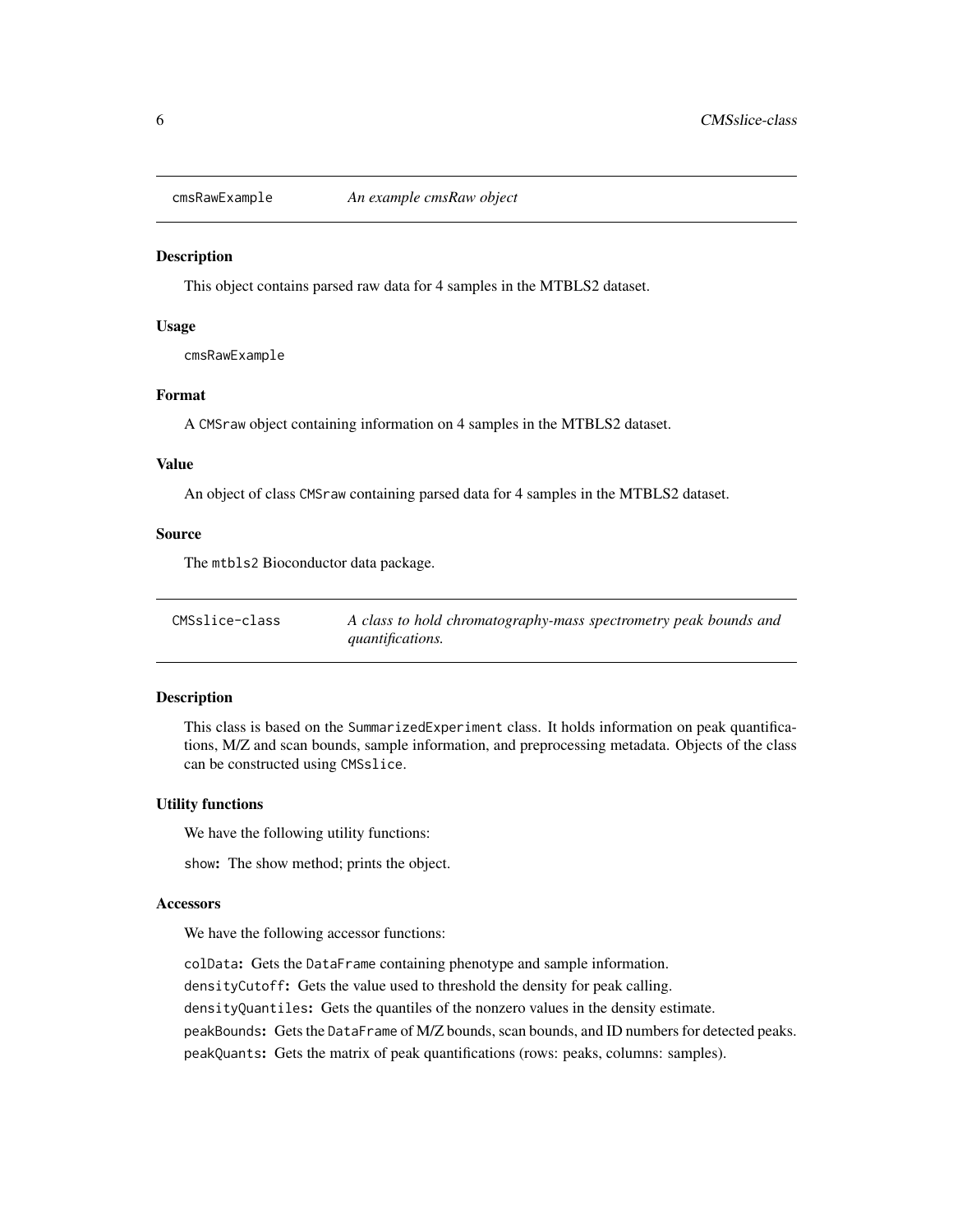<span id="page-5-0"></span>

#### Description

This object contains parsed raw data for 4 samples in the MTBLS2 dataset.

# Usage

cmsRawExample

# Format

A CMSraw object containing information on 4 samples in the MTBLS2 dataset.

# Value

An object of class CMSraw containing parsed data for 4 samples in the MTBLS2 dataset.

### Source

The mtbls2 Bioconductor data package.

| CMSslice-class | A class to hold chromatography-mass spectrometry peak bounds and |
|----------------|------------------------------------------------------------------|
|                | <i>quantifications.</i>                                          |

#### Description

This class is based on the SummarizedExperiment class. It holds information on peak quantifications, M/Z and scan bounds, sample information, and preprocessing metadata. Objects of the class can be constructed using CMSslice.

#### Utility functions

We have the following utility functions:

show: The show method; prints the object.

#### **Accessors**

We have the following accessor functions:

colData: Gets the DataFrame containing phenotype and sample information. densityCutoff: Gets the value used to threshold the density for peak calling. densityQuantiles: Gets the quantiles of the nonzero values in the density estimate. peakBounds: Gets the DataFrame of M/Z bounds, scan bounds, and ID numbers for detected peaks. peakQuants: Gets the matrix of peak quantifications (rows: peaks, columns: samples).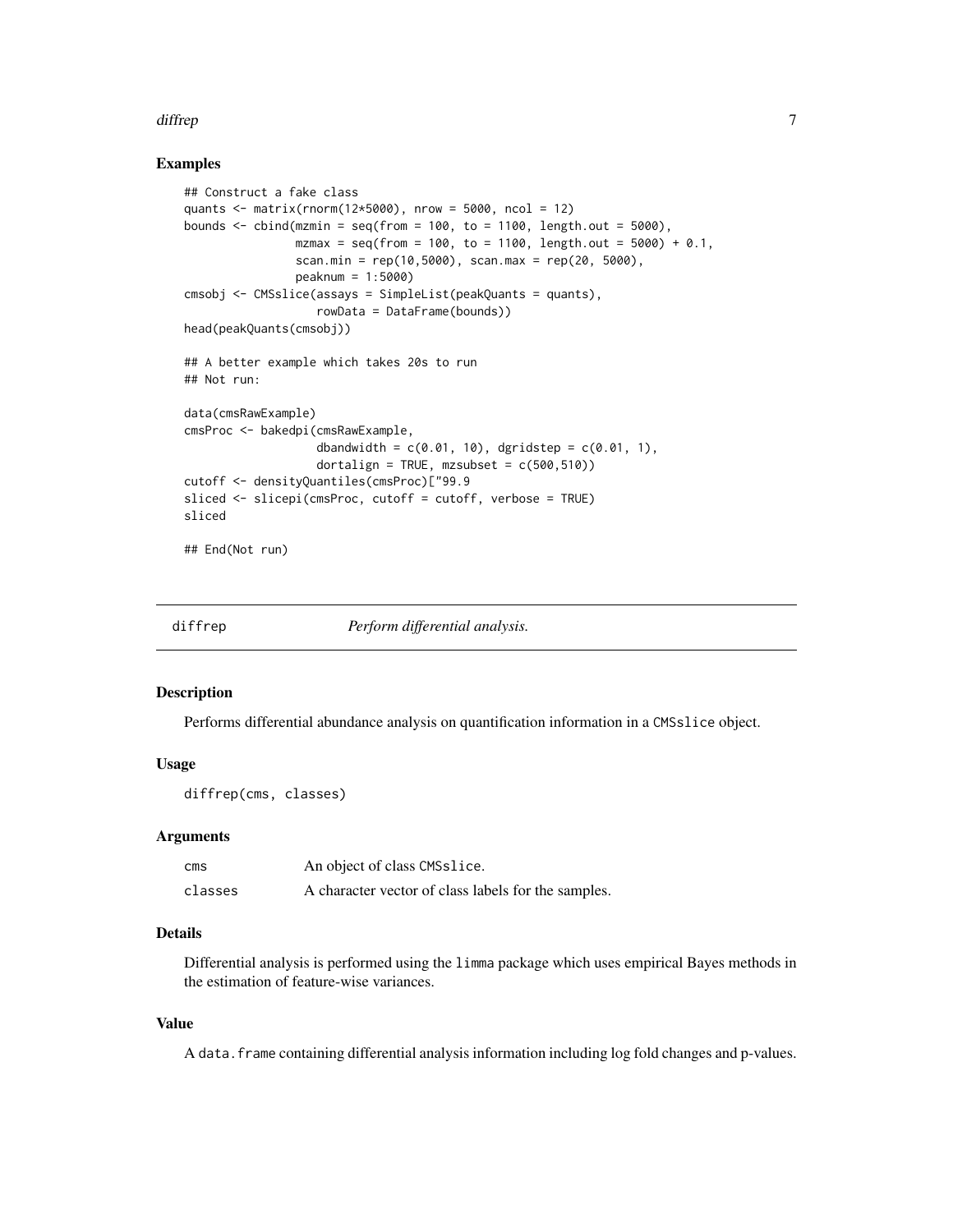#### <span id="page-6-0"></span>diffrep **7** and 2008 the set of the set of the set of the set of the set of the set of the set of the set of the set of the set of the set of the set of the set of the set of the set of the set of the set of the set of the

# Examples

```
## Construct a fake class
quants \leq matrix(rnorm(12*5000), nrow = 5000, ncol = 12)
bounds \le cbind(mzmin = seq(from = 100, to = 1100, length.out = 5000),
                mzmax = seq(from = 100, to = 1100, length.out = 5000) + 0.1,scan.min = rep(10, 5000), scan.max = rep(20, 5000),
                peaknum = 1:5000)
cmsobj <- CMSslice(assays = SimpleList(peakQuants = quants),
                   rowData = DataFrame(bounds))
head(peakQuants(cmsobj))
## A better example which takes 20s to run
## Not run:
data(cmsRawExample)
cmsProc <- bakedpi(cmsRawExample,
                   dbandwidth = c(0.01, 10), dgridstep = c(0.01, 1),
                   dortalign = TRUE, mzsubset = c(500, 510))
cutoff <- densityQuantiles(cmsProc)["99.9
sliced <- slicepi(cmsProc, cutoff = cutoff, verbose = TRUE)
sliced
```
## End(Not run)

| diffrep | Perform differential analysis. |  |
|---------|--------------------------------|--|
|         |                                |  |

# Description

Performs differential abundance analysis on quantification information in a CMSslice object.

### Usage

```
diffrep(cms, classes)
```
#### Arguments

| cms     | An object of class CMSslice.                        |
|---------|-----------------------------------------------------|
| classes | A character vector of class labels for the samples. |

# Details

Differential analysis is performed using the limma package which uses empirical Bayes methods in the estimation of feature-wise variances.

#### Value

A data.frame containing differential analysis information including log fold changes and p-values.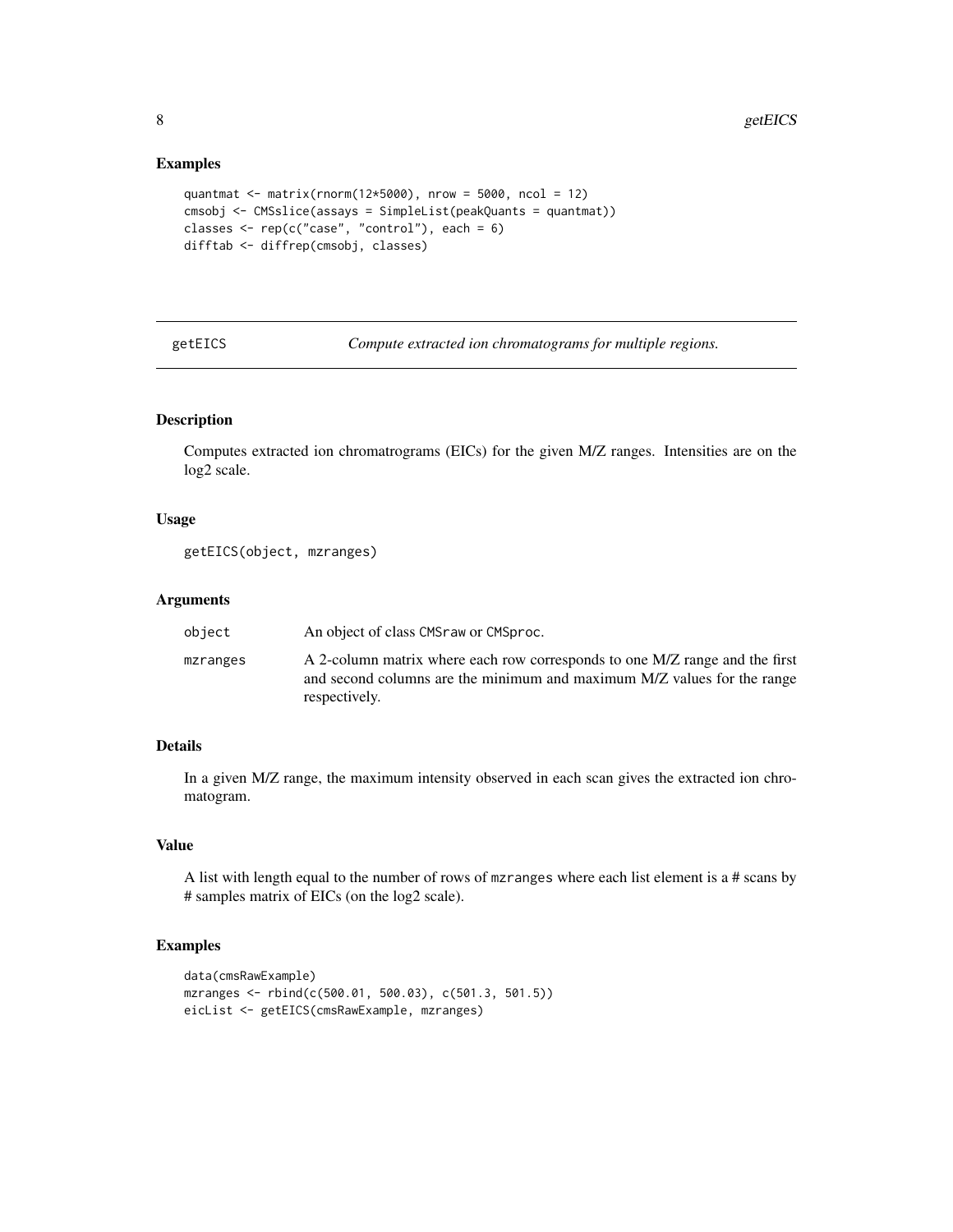#### Examples

```
quantmat <- matrix(rnorm(12*5000), nrow = 5000, ncol = 12)
cmsobj <- CMSslice(assays = SimpleList(peakQuants = quantmat))
classes <- rep(c("case", "control"), each = 6)
difftab <- diffrep(cmsobj, classes)
```
getEICS *Compute extracted ion chromatograms for multiple regions.*

# Description

Computes extracted ion chromatrograms (EICs) for the given M/Z ranges. Intensities are on the log2 scale.

# Usage

```
getEICS(object, mzranges)
```
# Arguments

| object   | An object of class CMS raw or CMS proc.                                                                                                                                 |
|----------|-------------------------------------------------------------------------------------------------------------------------------------------------------------------------|
| mzranges | A 2-column matrix where each row corresponds to one M/Z range and the first<br>and second columns are the minimum and maximum M/Z values for the range<br>respectively. |

# Details

In a given M/Z range, the maximum intensity observed in each scan gives the extracted ion chromatogram.

# Value

A list with length equal to the number of rows of mzranges where each list element is a # scans by # samples matrix of EICs (on the log2 scale).

# Examples

```
data(cmsRawExample)
mzranges <- rbind(c(500.01, 500.03), c(501.3, 501.5))
eicList <- getEICS(cmsRawExample, mzranges)
```
<span id="page-7-0"></span>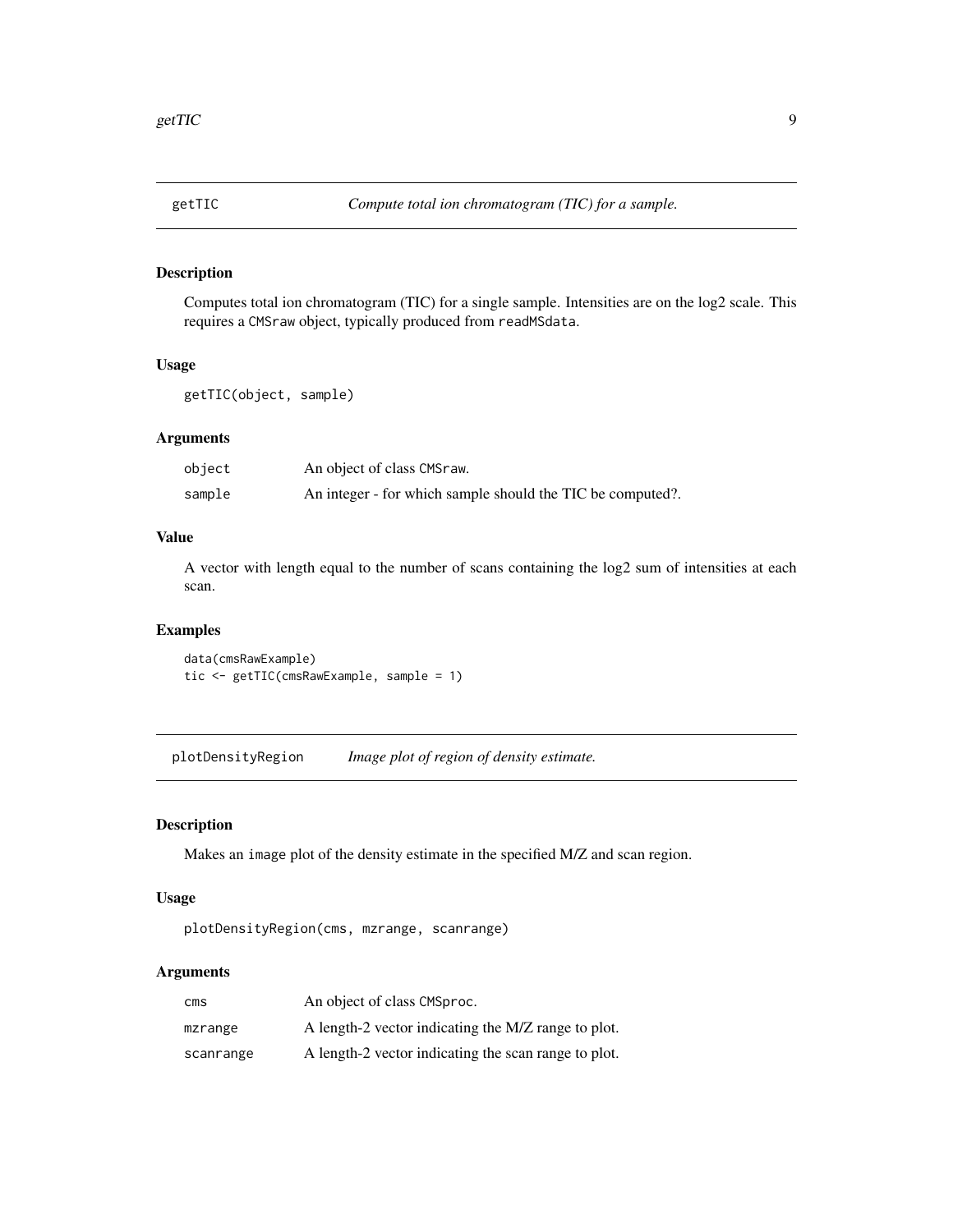<span id="page-8-0"></span>

# Description

Computes total ion chromatogram (TIC) for a single sample. Intensities are on the log2 scale. This requires a CMSraw object, typically produced from readMSdata.

#### Usage

getTIC(object, sample)

# Arguments

| object | An object of class CMSraw.                                 |
|--------|------------------------------------------------------------|
| sample | An integer - for which sample should the TIC be computed?. |

# Value

A vector with length equal to the number of scans containing the log2 sum of intensities at each scan.

#### Examples

data(cmsRawExample) tic <- getTIC(cmsRawExample, sample = 1)

plotDensityRegion *Image plot of region of density estimate.*

#### Description

Makes an image plot of the density estimate in the specified M/Z and scan region.

# Usage

plotDensityRegion(cms, mzrange, scanrange)

# Arguments

| cms       | An object of class CMSproc.                          |
|-----------|------------------------------------------------------|
| mzrange   | A length-2 vector indicating the M/Z range to plot.  |
| scanrange | A length-2 vector indicating the scan range to plot. |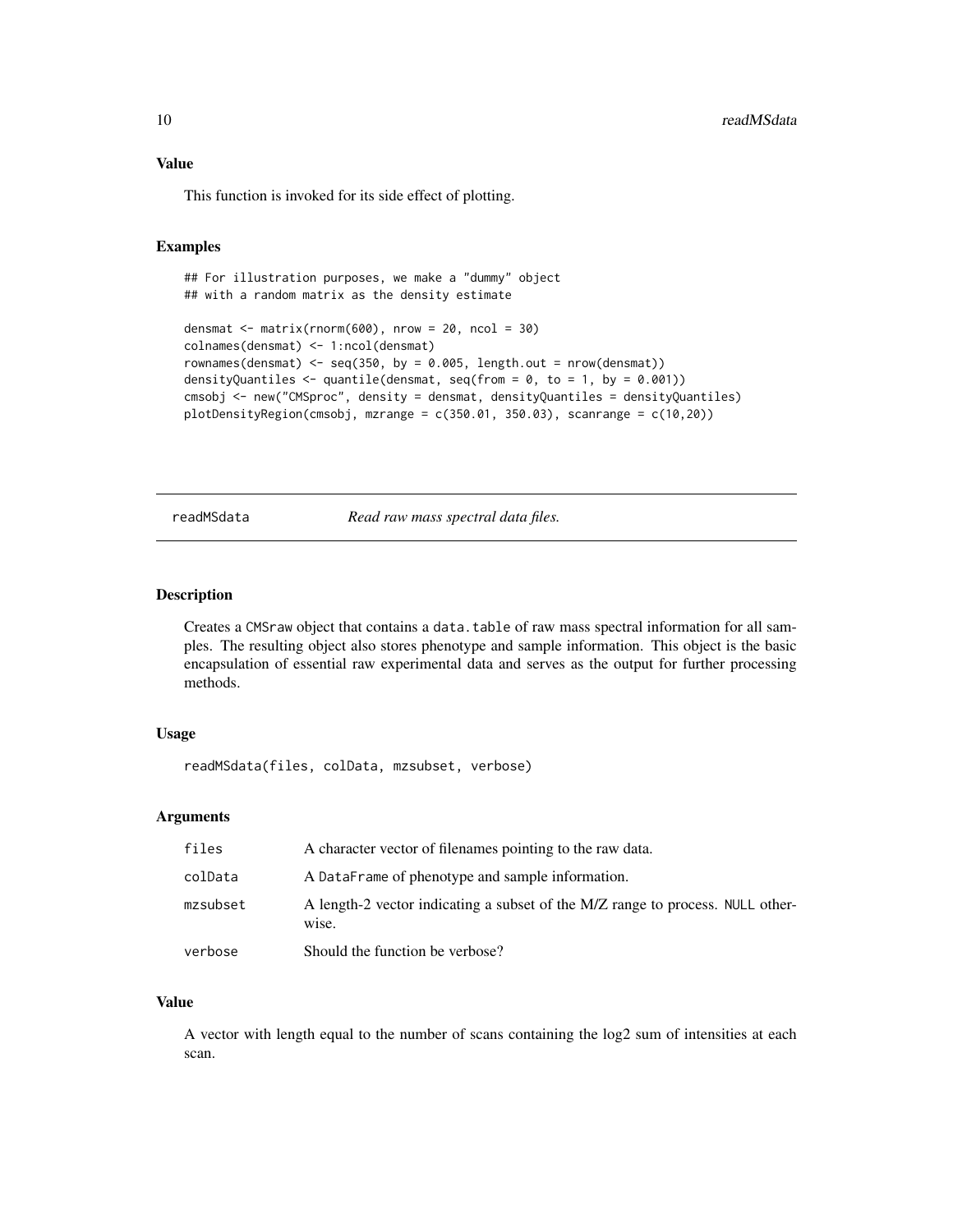<span id="page-9-0"></span>This function is invoked for its side effect of plotting.

#### Examples

```
## For illustration purposes, we make a "dummy" object
## with a random matrix as the density estimate
densmat \leq matrix(rnorm(600), nrow = 20, ncol = 30)
colnames(densmat) <- 1:ncol(densmat)
rownames(densmat) <- seq(350, by = 0.005, length.out = nrow(densmat))
densityQuantiles \leq quantile(densmat, seq(from = 0, to = 1, by = 0.001))
cmsobj <- new("CMSproc", density = densmat, densityQuantiles = densityQuantiles)
plotDensityRegion(cmsobj, mzrange = c(350.01, 350.03), scanrange = c(10,20))
```
readMSdata *Read raw mass spectral data files.*

#### Description

Creates a CMSraw object that contains a data.table of raw mass spectral information for all samples. The resulting object also stores phenotype and sample information. This object is the basic encapsulation of essential raw experimental data and serves as the output for further processing methods.

#### Usage

readMSdata(files, colData, mzsubset, verbose)

#### Arguments

| files    | A character vector of filenames pointing to the raw data.                               |
|----------|-----------------------------------------------------------------------------------------|
| colData  | A DataFrame of phenotype and sample information.                                        |
| mzsubset | A length-2 vector indicating a subset of the M/Z range to process. NULL other-<br>wise. |
| verbose  | Should the function be verbose?                                                         |

#### Value

A vector with length equal to the number of scans containing the log2 sum of intensities at each scan.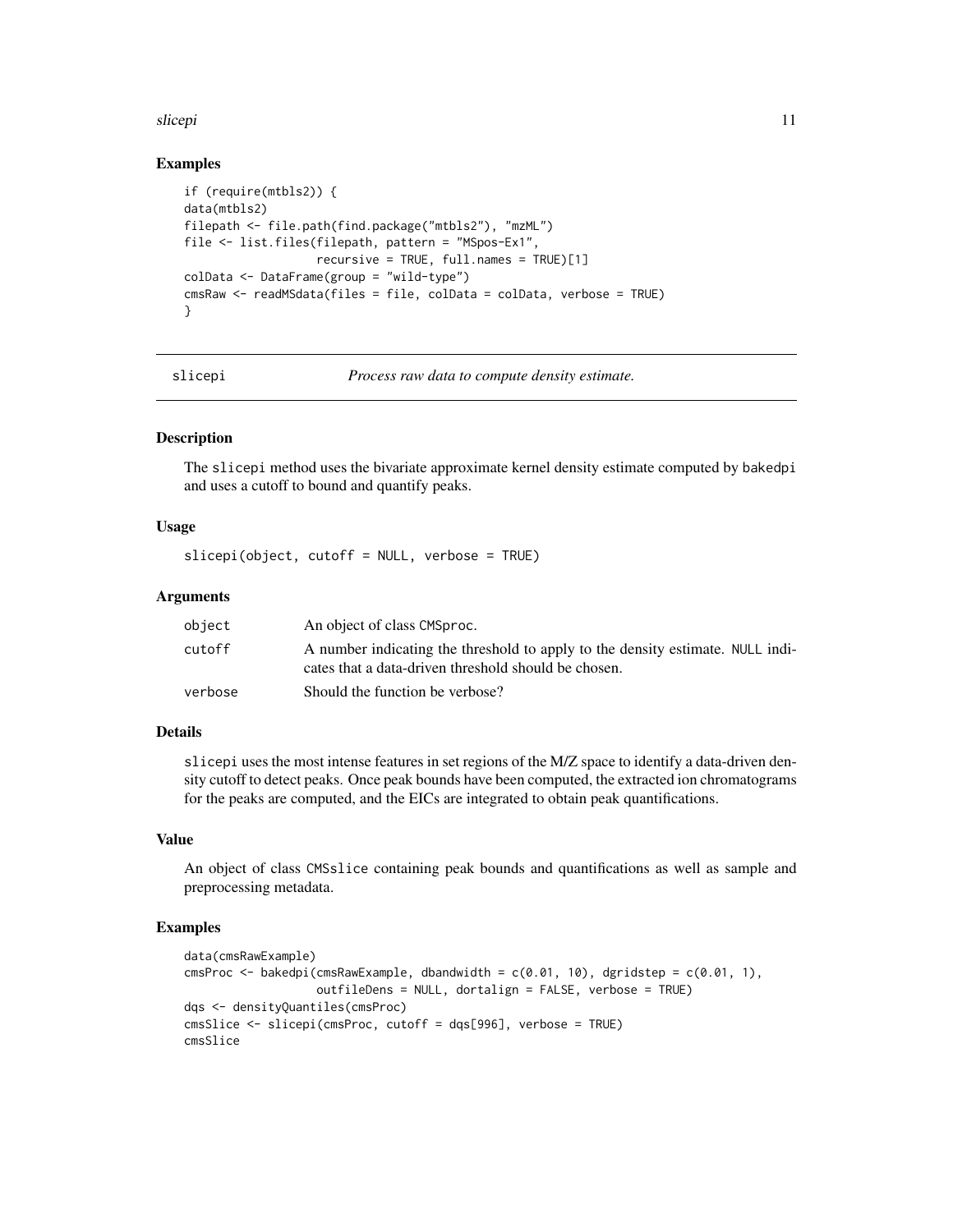#### <span id="page-10-0"></span>slicepi the contract of the contract of the contract of the contract of the contract of the contract of the contract of the contract of the contract of the contract of the contract of the contract of the contract of the co

# Examples

```
if (require(mtbls2)) {
data(mtbls2)
filepath <- file.path(find.package("mtbls2"), "mzML")
file <- list.files(filepath, pattern = "MSpos-Ex1",
                   recursively = TRUE, full.name = TRUE)[1]colData <- DataFrame(group = "wild-type")
cmsRaw <- readMSdata(files = file, colData = colData, verbose = TRUE)
}
```
slicepi *Process raw data to compute density estimate.*

### Description

The slicepi method uses the bivariate approximate kernel density estimate computed by bakedpi and uses a cutoff to bound and quantify peaks.

# Usage

slicepi(object, cutoff = NULL, verbose = TRUE)

#### Arguments

| object  | An object of class CMSproc.                                                                                                            |
|---------|----------------------------------------------------------------------------------------------------------------------------------------|
| cutoff  | A number indicating the threshold to apply to the density estimate. NULL indi-<br>cates that a data-driven threshold should be chosen. |
| verbose | Should the function be verbose?                                                                                                        |

# Details

slicepi uses the most intense features in set regions of the M/Z space to identify a data-driven density cutoff to detect peaks. Once peak bounds have been computed, the extracted ion chromatograms for the peaks are computed, and the EICs are integrated to obtain peak quantifications.

# Value

An object of class CMSslice containing peak bounds and quantifications as well as sample and preprocessing metadata.

# Examples

```
data(cmsRawExample)
cmsProc <- bakedpi(cmsRawExample, dbandwidth = c(0.01, 10), dgridstep = c(0.01, 1),
                   outfileDens = NULL, dortalign = FALSE, verbose = TRUE)
dqs <- densityQuantiles(cmsProc)
cmsSlice <- slicepi(cmsProc, cutoff = dqs[996], verbose = TRUE)
cmsSlice
```